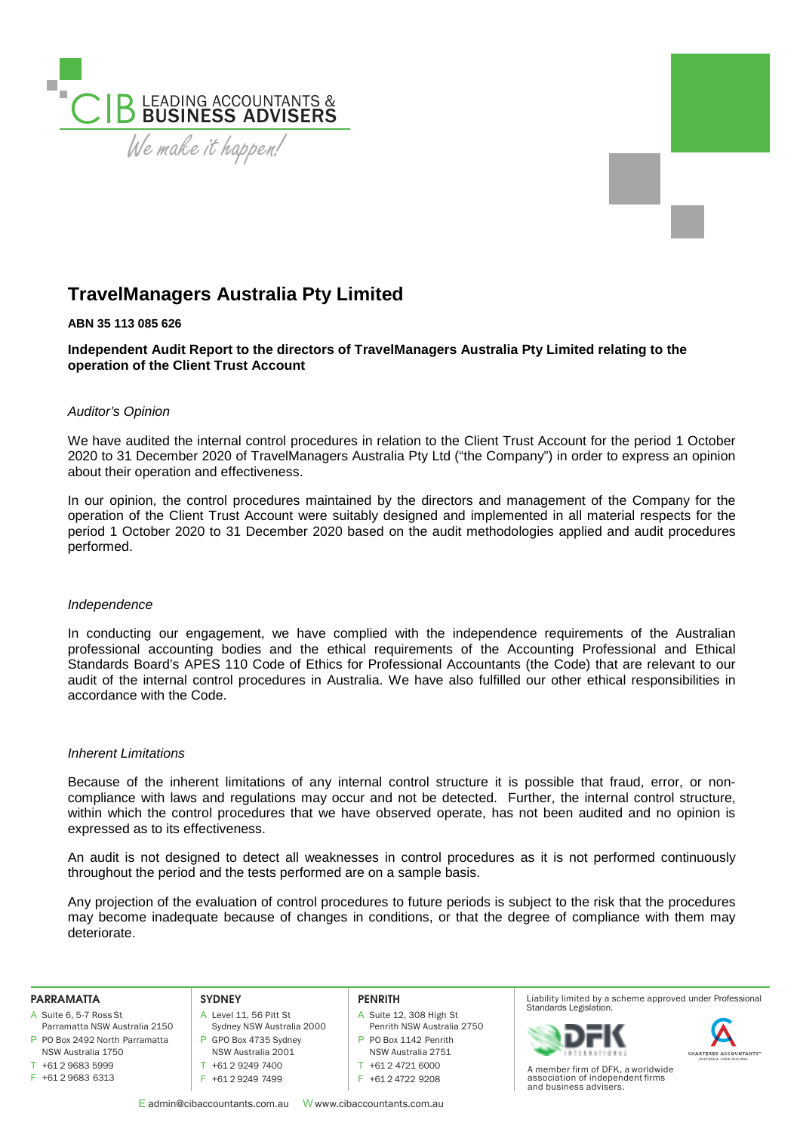

# **TravelManagers Australia Pty Limited**

# **ABN 35 113 085 626**

**Independent Audit Report to the directors of TravelManagers Australia Pty Limited relating to the operation of the Client Trust Account** 

# *Auditor's Opinion*

We have audited the internal control procedures in relation to the Client Trust Account for the period 1 October 2020 to 31 December 2020 of TravelManagers Australia Pty Ltd ("the Company") in order to express an opinion about their operation and effectiveness.

In our opinion, the control procedures maintained by the directors and management of the Company for the operation of the Client Trust Account were suitably designed and implemented in all material respects for the period 1 October 2020 to 31 December 2020 based on the audit methodologies applied and audit procedures performed.

### *Independence*

In conducting our engagement, we have complied with the independence requirements of the Australian professional accounting bodies and the ethical requirements of the Accounting Professional and Ethical Standards Board's APES 110 Code of Ethics for Professional Accountants (the Code) that are relevant to our audit of the internal control procedures in Australia. We have also fulfilled our other ethical responsibilities in accordance with the Code.

### *Inherent Limitations*

Because of the inherent limitations of any internal control structure it is possible that fraud, error, or noncompliance with laws and regulations may occur and not be detected. Further, the internal control structure, within which the control procedures that we have observed operate, has not been audited and no opinion is expressed as to its effectiveness.

An audit is not designed to detect all weaknesses in control procedures as it is not performed continuously throughout the period and the tests performed are on a sample basis.

Any projection of the evaluation of control procedures to future periods is subject to the risk that the procedures may become inadequate because of changes in conditions, or that the degree of compliance with them may deteriorate.

#### **PARRAMATTA**

- A Suite 6, 5-7 Ross St
- P PO Box 2492 North Parramatta Parramatta NSW Australia 2150 NSW Australia 1750
- $T + 61296835999$
- F +61 2 9683 6313

#### **SYDNEY**

- A Level 11, 56 Pitt St
	-

**PENRITH**

- A Suite 12, 308 High St Penrith NSW Australia 2750
- P PO Box 1142 Penrith
- NSW Australia 2751
- T +61 2 4721 6000
- F +61 2 4722 9208
- E admin@cibaccountants.com.au W www.cibaccountants.com.au

Sydney NSW Australia 2000 P GPO Box 4735 Sydney NSW Australia 2001 T +61 2 9249 7400 F +61 2 9249 7499

Liability limited by a scheme approved under Professional Standards Legislation.





A member firm of DFK, a worldwide association of independent firms and business advisers.